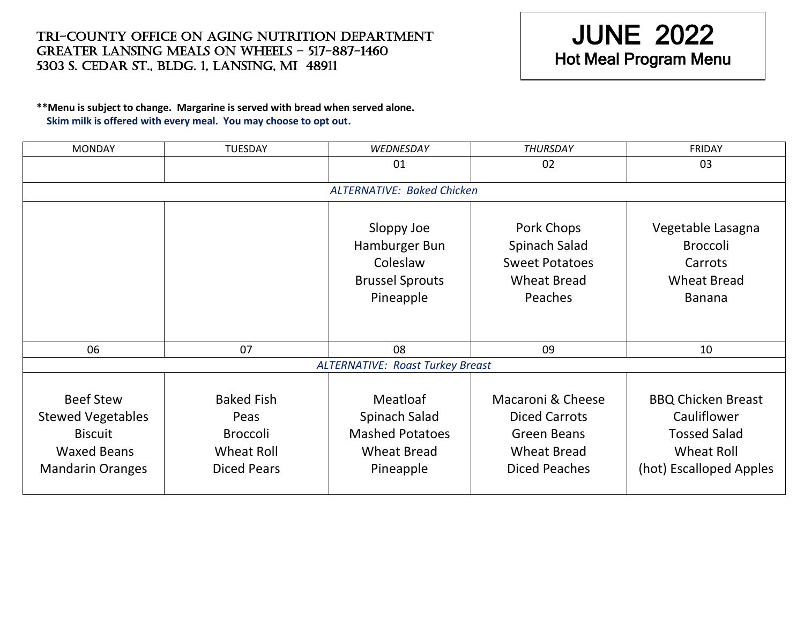## Tri-County Office on Aging Nutrition Department Greater lansing meals on wheels – 517-887-1460 5303 S. CEDAR ST., BLDG. 1, LANSING, MI 48911

## JUNE 2022 Hot Meal Program Menu

## **\*\*Menu is subject to change. Margarine is served with bread when served alone. Skim milk is offered with every meal. You may choose to opt out.**

| <b>MONDAY</b>                                                                                                   | <b>TUESDAY</b>                                                                   | WEDNESDAY                                                                              | <b>THURSDAY</b>                                                                                               | <b>FRIDAY</b>                                                                                                   |  |  |  |
|-----------------------------------------------------------------------------------------------------------------|----------------------------------------------------------------------------------|----------------------------------------------------------------------------------------|---------------------------------------------------------------------------------------------------------------|-----------------------------------------------------------------------------------------------------------------|--|--|--|
|                                                                                                                 |                                                                                  | 01                                                                                     | 02                                                                                                            | 03                                                                                                              |  |  |  |
| <b>ALTERNATIVE: Baked Chicken</b>                                                                               |                                                                                  |                                                                                        |                                                                                                               |                                                                                                                 |  |  |  |
|                                                                                                                 |                                                                                  |                                                                                        |                                                                                                               |                                                                                                                 |  |  |  |
|                                                                                                                 |                                                                                  | Sloppy Joe<br>Hamburger Bun<br>Coleslaw<br><b>Brussel Sprouts</b><br>Pineapple         | Pork Chops<br>Spinach Salad<br><b>Sweet Potatoes</b><br><b>Wheat Bread</b><br>Peaches                         | Vegetable Lasagna<br><b>Broccoli</b><br>Carrots<br><b>Wheat Bread</b><br><b>Banana</b>                          |  |  |  |
| 06                                                                                                              | 07                                                                               | 08                                                                                     | 09                                                                                                            | 10                                                                                                              |  |  |  |
| <b>ALTERNATIVE: Roast Turkey Breast</b>                                                                         |                                                                                  |                                                                                        |                                                                                                               |                                                                                                                 |  |  |  |
|                                                                                                                 |                                                                                  |                                                                                        |                                                                                                               |                                                                                                                 |  |  |  |
| <b>Beef Stew</b><br><b>Stewed Vegetables</b><br><b>Biscuit</b><br><b>Waxed Beans</b><br><b>Mandarin Oranges</b> | <b>Baked Fish</b><br>Peas<br><b>Broccoli</b><br>Wheat Roll<br><b>Diced Pears</b> | Meatloaf<br>Spinach Salad<br><b>Mashed Potatoes</b><br><b>Wheat Bread</b><br>Pineapple | Macaroni & Cheese<br><b>Diced Carrots</b><br><b>Green Beans</b><br><b>Wheat Bread</b><br><b>Diced Peaches</b> | <b>BBQ Chicken Breast</b><br>Cauliflower<br><b>Tossed Salad</b><br><b>Wheat Roll</b><br>(hot) Escalloped Apples |  |  |  |